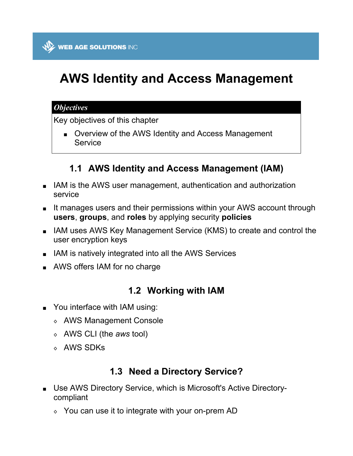# **AWS Identity and Access Management**

#### *Objectives*

Key objectives of this chapter

**Diverview of the AWS Identity and Access Management** Service

# **1.1 AWS Identity and Access Management (IAM)**

- IAM is the AWS user management, authentication and authorization service
- It manages users and their permissions within your AWS account through **users**, **groups**, and **roles** by applying security **policies**
- IAM uses AWS Key Management Service (KMS) to create and control the user encryption keys
- **I** IAM is natively integrated into all the AWS Services
- **AWS offers IAM for no charge**

# **1.2 Working with IAM**

- You interface with IAM using:
	- ◊ AWS Management Console
	- ◊ AWS CLI (the *aws* tool)
	- ◊ AWS SDKs

# **1.3 Need a Directory Service?**

- Use AWS Directory Service, which is Microsoft's Active Directorycompliant
	- $\Diamond$  You can use it to integrate with your on-prem AD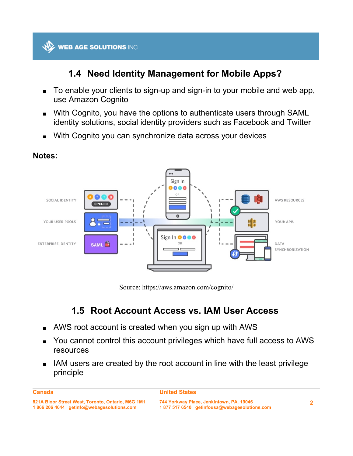

# **1.4 Need Identity Management for Mobile Apps?**

- To enable your clients to sign-up and sign-in to your mobile and web app, use Amazon Cognito
- With Cognito, you have the options to authenticate users through SAML identity solutions, social identity providers such as Facebook and Twitter
- With Cognito you can synchronize data across your devices



#### **Notes:**

Source: https://aws.amazon.com/cognito/

# **1.5 Root Account Access vs. IAM User Access**

- AWS root account is created when you sign up with AWS
- You cannot control this account privileges which have full access to AWS resources
- IAM users are created by the root account in line with the least privilege principle

```
Canada
```
#### **United States**

**<sup>821</sup>A Bloor Street West, Toronto, Ontario, M6G 1M1 1 866 206 4644 getinfo@webagesolutions.com**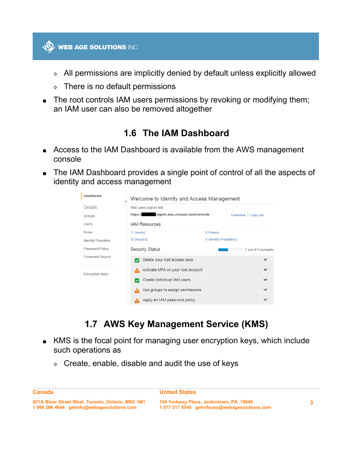

- ◊ All permissions are implicitly denied by default unless explicitly allowed
- ◊ There is no default permissions
- The root controls IAM users permissions by revoking or modifying them; an IAM user can also be removed altogether

### **1.6 The IAM Dashboard**

- Access to the IAM Dashboard is available from the AWS management console
- The IAM Dashboard provides a single point of control of all the aspects of identity and access management

| Dashboard                 | Welcome to Identity and Access Management |                        |                       |  |  |
|---------------------------|-------------------------------------------|------------------------|-----------------------|--|--|
| Details                   | IAM users sign-in link:                   |                        |                       |  |  |
| Groups                    | https:// signin.aws.amazon.com/console    |                        | Customize   Copy Link |  |  |
| <b>Users</b>              | <b>IAM Resources</b>                      |                        |                       |  |  |
| Roles                     | 1 User(s)                                 | $0$ Role(s)            |                       |  |  |
| <b>Identity Providers</b> | $0$ Group(s)                              | 0 Identity Provider(s) |                       |  |  |
| Password Policy           | <b>Security Status</b>                    |                        | 2 out of 5 complete   |  |  |
| <b>Credential Report</b>  | Delete your root access keys              |                        | $\checkmark$          |  |  |
| <b>Encryption Keys</b>    | Activate MFA on your root account         |                        | $\checkmark$          |  |  |
|                           | Create individual IAM users               |                        | $\checkmark$          |  |  |
|                           | Use groups to assign permissions          |                        | $\checkmark$          |  |  |
|                           | Apply an IAM password policy              |                        | $\checkmark$          |  |  |

# **1.7 AWS Key Management Service (KMS)**

- KMS is the focal point for managing user encryption keys, which include such operations as
	- $\circ$  Create, enable, disable and audit the use of keys

```
Canada
```
**United States**

**<sup>821</sup>A Bloor Street West, Toronto, Ontario, M6G 1M1 1 866 206 4644 getinfo@webagesolutions.com**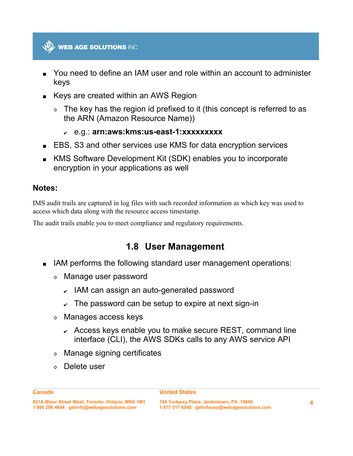

- You need to define an IAM user and role within an account to administer keys
- Keys are created within an AWS Region
	- $\circ$  The key has the region id prefixed to it (this concept is referred to as the ARN (Amazon Resource Name))
		- ✔ e.g.: **arn:aws:kms:us-east-1:xxxxxxxxx**
- EBS, S3 and other services use KMS for data encryption services
- KMS Software Development Kit (SDK) enables you to incorporate encryption in your applications as well

#### **Notes:**

IMS audit trails are captured in log files with such recorded information as which key was used to access which data along with the resource access timestamp.

The audit trails enable you to meet compliance and regulatory requirements.

#### **1.8 User Management**

- IAM performs the following standard user management operations:
	- ◊ Manage user password
		- $\sim$  IAM can assign an auto-generated password
		- $\sim$  The password can be setup to expire at next sign-in
	- ◊ Manages access keys
		- $\sim$  Access keys enable you to make secure REST, command line interface (CLI), the AWS SDKs calls to any AWS service API
	- ◊ Manage signing certificates
	- ◊ Delete user

#### **United States**

**744 Yorkway Place, Jenkintown, PA. 19046 1 877 517 6540 getinfousa@webagesolutions.com**

**4**

**Canada**

**<sup>821</sup>A Bloor Street West, Toronto, Ontario, M6G 1M1 1 866 206 4644 getinfo@webagesolutions.com**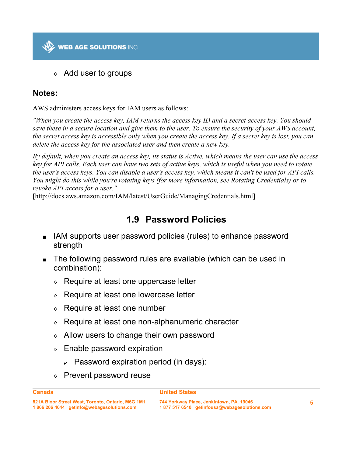

◊ Add user to groups

#### **Notes:**

AWS administers access keys for IAM users as follows:

*"When you create the access key, IAM returns the access key ID and a secret access key. You should save these in a secure location and give them to the user. To ensure the security of your AWS account, the secret access key is accessible only when you create the access key. If a secret key is lost, you can delete the access key for the associated user and then create a new key.*

*By default, when you create an access key, its status is Active, which means the user can use the access key for API calls. Each user can have two sets of active keys, which is useful when you need to rotate the user's access keys. You can disable a user's access key, which means it can't be used for API calls. You might do this while you're rotating keys (for more information, see Rotating Credentials) or to revoke API access for a user."*

[http://docs.aws.amazon.com/IAM/latest/UserGuide/ManagingCredentials.html]

### **1.9 Password Policies**

- IAM supports user password policies (rules) to enhance password strength
- The following password rules are available (which can be used in combination):
	- ◊ Require at least one uppercase letter
	- ◊ Require at least one lowercase letter
	- ◊ Require at least one number
	- ◊ Require at least one non-alphanumeric character
	- ◊ Allow users to change their own password
	- ◊ Enable password expiration
		- $\sim$  Password expiration period (in days):
	- ◊ Prevent password reuse

#### **Canada**

#### **United States**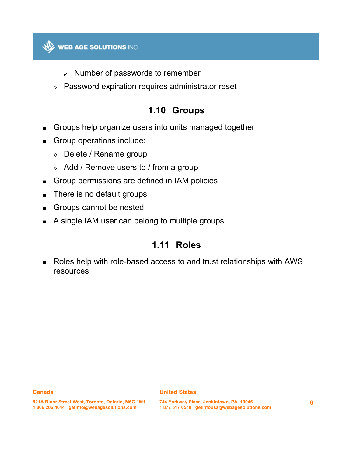

- $\sim$  Number of passwords to remember
- ◊ Password expiration requires administrator reset

### **1.10 Groups**

- Groups help organize users into units managed together
- Group operations include:
	- ◊ Delete / Rename group
	- ◊ Add / Remove users to / from a group
- Group permissions are defined in IAM policies
- **There is no default groups**
- Groups cannot be nested
- A single IAM user can belong to multiple groups

### **1.11 Roles**

 Roles help with role-based access to and trust relationships with AWS resources

#### **United States**

**821A Bloor Street West, Toronto, Ontario, M6G 1M1 1 866 206 4644 getinfo@webagesolutions.com**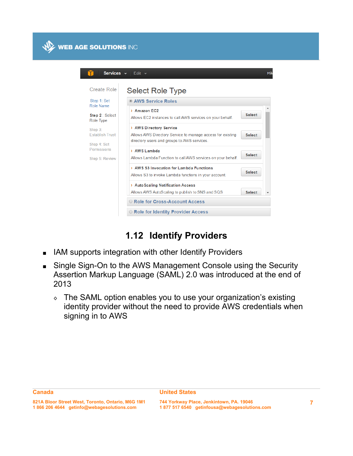

| Create Role                                                                                   | Select Role Type                                                                                                                                      |               |  |
|-----------------------------------------------------------------------------------------------|-------------------------------------------------------------------------------------------------------------------------------------------------------|---------------|--|
| Step 1: Set                                                                                   | <b>O AWS Service Roles</b>                                                                                                                            |               |  |
| Role Name<br>Step 2 : Select<br>Role Type<br>Step 3:<br><b>Establish Trust</b><br>Step 4: Set | > Amazon EC2<br>Allows EC2 instances to call AWS services on your behalf.                                                                             | <b>Select</b> |  |
|                                                                                               | > AWS Directory Service<br>Allows AWS Directory Service to manage access for existing<br><b>Select</b><br>directory users and groups to AWS services. |               |  |
| Permissions<br>Step 5: Review                                                                 | > AWS Lambda<br>Allows Lambda Function to call AWS services on your behalf.                                                                           | <b>Select</b> |  |
|                                                                                               | > AWS S3 Invocation for Lambda Functions<br>Allows S3 to invoke Lambda functions in your account.                                                     | <b>Select</b> |  |
|                                                                                               | > Auto Scaling Notification Access<br>Allows AWS AutoScaling to publish to SNS and SQS                                                                | <b>Select</b> |  |

# **1.12 Identify Providers**

- **IAM supports integration with other Identify Providers**
- Single Sign-On to the AWS Management Console using the Security Assertion Markup Language (SAML) 2.0 was introduced at the end of 2013
	- ◊ The SAML option enables you to use your organization's existing identity provider without the need to provide AWS credentials when signing in to AWS

**<sup>821</sup>A Bloor Street West, Toronto, Ontario, M6G 1M1 1 866 206 4644 getinfo@webagesolutions.com**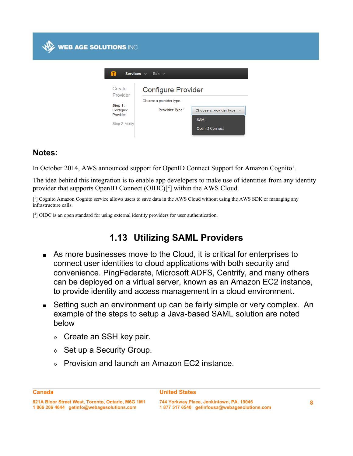| Services v<br>Edit $\sim$                                                |                                                                        |                                                                |  |  |  |
|--------------------------------------------------------------------------|------------------------------------------------------------------------|----------------------------------------------------------------|--|--|--|
| Create<br>Provider<br>Step 1:<br>Configure<br>Provider<br>Step 2: Verify | <b>Configure Provider</b><br>Choose a provider type.<br>Provider Type* | Choose a provider type<br><b>SAML</b><br><b>OpenID Connect</b> |  |  |  |

#### **Notes:**

**WEB AGE SOLUTIONS INC** 

In October 2014, AWS announced support for OpenID Connect Support for Amazon Cognito<sup>1</sup>.

The idea behind this integration is to enable app developers to make use of identities from any identity provider that supports OpenID Connect  $(OIDC)<sup>2</sup>$ ] within the AWS Cloud.

[<sup>1</sup>] Cognito Amazon Cognito service allows users to save data in the AWS Cloud without using the AWS SDK or managing any infrastructure calls.

 $[^{2}]$  OIDC is an open standard for using external identity providers for user authentication.

# **1.13 Utilizing SAML Providers**

- As more businesses move to the Cloud, it is critical for enterprises to connect user identities to cloud applications with both security and convenience. PingFederate, Microsoft ADFS, Centrify, and many others can be deployed on a virtual server, known as an Amazon EC2 instance, to provide identity and access management in a cloud environment.
- Setting such an environment up can be fairly simple or very complex. An example of the steps to setup a Java-based SAML solution are noted below
	- $\circ$  Create an SSH key pair.
	- $\Diamond$  Set up a Security Group.
	- ◊ Provision and launch an Amazon EC2 instance.

**Canada**

#### **United States**

**<sup>821</sup>A Bloor Street West, Toronto, Ontario, M6G 1M1 1 866 206 4644 getinfo@webagesolutions.com**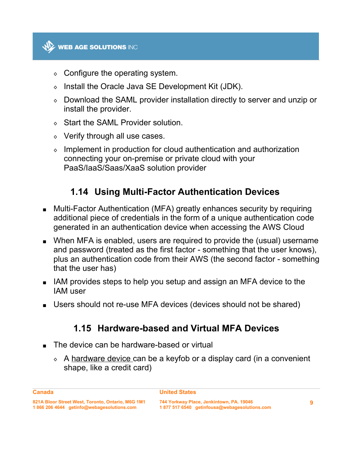

- $\circ$  Configure the operating system.
- ◊ Install the Oracle Java SE Development Kit (JDK).
- ◊ Download the SAML provider installation directly to server and unzip or install the provider.
- ◊ Start the SAML Provider solution.
- $\Diamond$  Verify through all use cases.
- ◊ Implement in production for cloud authentication and authorization connecting your on-premise or private cloud with your PaaS/IaaS/Saas/XaaS solution provider

# **1.14 Using Multi-Factor Authentication Devices**

- Multi-Factor Authentication (MFA) greatly enhances security by requiring additional piece of credentials in the form of a unique authentication code generated in an authentication device when accessing the AWS Cloud
- When MFA is enabled, users are required to provide the (usual) username and password (treated as the first factor - something that the user knows), plus an authentication code from their AWS (the second factor - something that the user has)
- IAM provides steps to help you setup and assign an MFA device to the IAM user
- Users should not re-use MFA devices (devices should not be shared)

#### **1.15 Hardware-based and Virtual MFA Devices**

- The device can be hardware-based or virtual
	- ◊ A hardware device can be a keyfob or a display card (in a convenient shape, like a credit card)

#### **United States**

**Canada**

**<sup>821</sup>A Bloor Street West, Toronto, Ontario, M6G 1M1 1 866 206 4644 getinfo@webagesolutions.com**